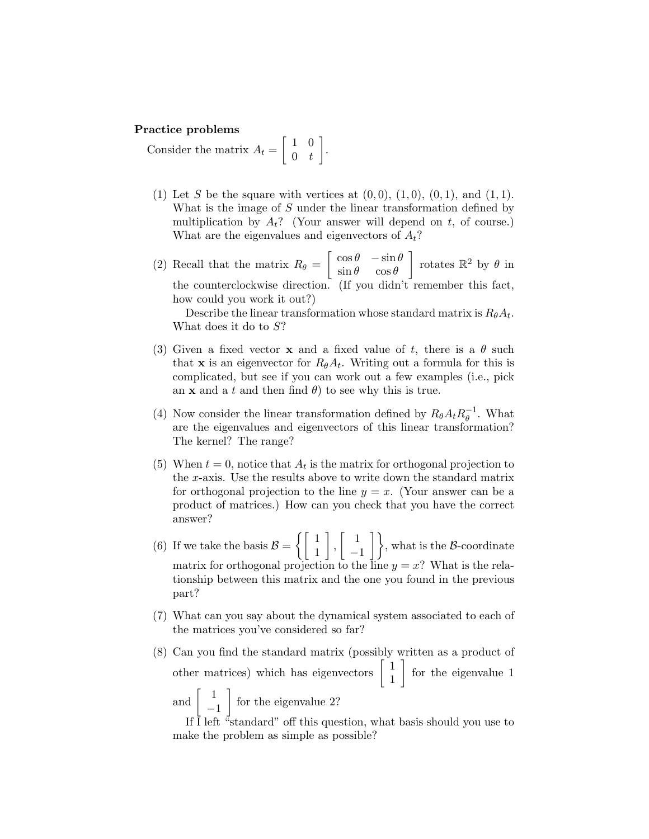#### Practice problems

Consider the matrix  $A_t = \begin{bmatrix} 1 & 0 \\ 0 & t \end{bmatrix}$  $0 \quad t$ .

- (1) Let S be the square with vertices at  $(0, 0)$ ,  $(1, 0)$ ,  $(0, 1)$ , and  $(1, 1)$ . What is the image of  $S$  under the linear transformation defined by multiplication by  $A_t$ ? (Your answer will depend on t, of course.) What are the eigenvalues and eigenvectors of  $A_t$ ?
- (2) Recall that the matrix  $R_{\theta} = \begin{bmatrix} \cos \theta & -\sin \theta \\ \sin \theta & \cos \theta \end{bmatrix}$  $\sin \theta \quad \cos \theta$ Trotates  $\mathbb{R}^2$  by  $\theta$  in the counterclockwise direction. (If you didn't remember this fact, how could you work it out?)

Describe the linear transformation whose standard matrix is  $R_{\theta}A_t$ . What does it do to  $S$ ?

- (3) Given a fixed vector **x** and a fixed value of t, there is a  $\theta$  such that **x** is an eigenvector for  $R_{\theta}A_t$ . Writing out a formula for this is complicated, but see if you can work out a few examples (i.e., pick an **x** and a t and then find  $\theta$ ) to see why this is true.
- (4) Now consider the linear transformation defined by  $R_{\theta}A_t R_{\theta}^{-1}$  $_{\theta}^{-1}$ . What are the eigenvalues and eigenvectors of this linear transformation? The kernel? The range?
- (5) When  $t = 0$ , notice that  $A_t$  is the matrix for orthogonal projection to the x-axis. Use the results above to write down the standard matrix for orthogonal projection to the line  $y = x$ . (Your answer can be a product of matrices.) How can you check that you have the correct answer?
- (6) If we take the basis  $\mathcal{B} = \begin{cases} 1 & 1 \\ 1 & 1 \end{cases}$ 1  $\Big\}$ ,  $\Big\}$  1  $\begin{bmatrix} 1 \\ -1 \end{bmatrix}$ , what is the B-coordinate matrix for orthogonal projection to the line  $y = x$ ? What is the relationship between this matrix and the one you found in the previous part?
- (7) What can you say about the dynamical system associated to each of the matrices you've considered so far?
- (8) Can you find the standard matrix (possibly written as a product of other matrices) which has eigenvectors  $\begin{bmatrix} 1 \\ 1 \end{bmatrix}$ 1 for the eigenvalue 1 and  $\begin{bmatrix} 1 \end{bmatrix}$ −1  $\int$  for the eigenvalue 2?

If  $\overline{I}$  left "standard" off this question, what basis should you use to make the problem as simple as possible?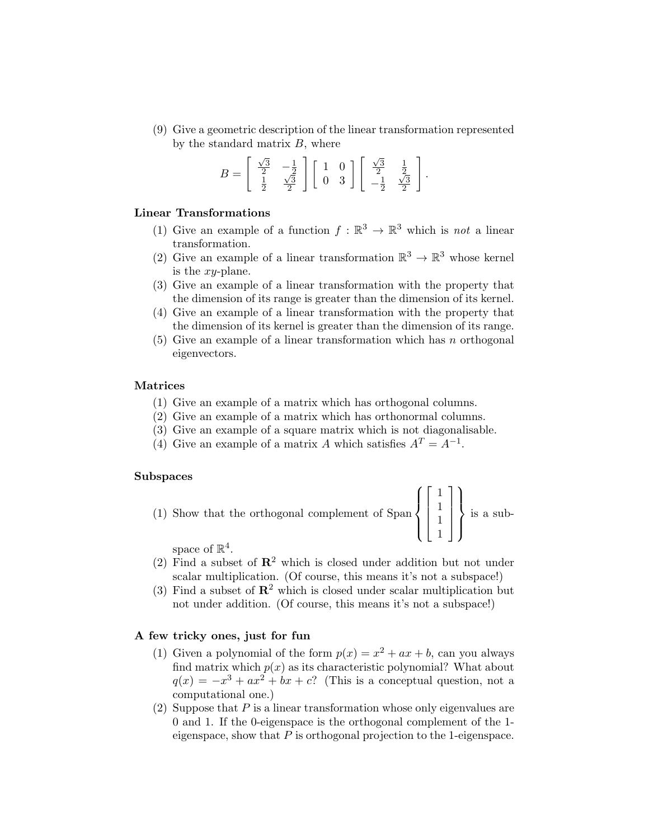(9) Give a geometric description of the linear transformation represented by the standard matrix  $B$ , where

$$
B = \left[ \begin{array}{cc} \frac{\sqrt{3}}{2} & -\frac{1}{2} \\ \frac{1}{2} & \frac{\sqrt{3}}{2} \end{array} \right] \left[ \begin{array}{cc} 1 & 0 \\ 0 & 3 \end{array} \right] \left[ \begin{array}{cc} \frac{\sqrt{3}}{2} & \frac{1}{2} \\ -\frac{1}{2} & \frac{\sqrt{3}}{2} \end{array} \right].
$$

## Linear Transformations

- (1) Give an example of a function  $f : \mathbb{R}^3 \to \mathbb{R}^3$  which is *not* a linear transformation.
- (2) Give an example of a linear transformation  $\mathbb{R}^3 \to \mathbb{R}^3$  whose kernel is the  $xy$ -plane.
- (3) Give an example of a linear transformation with the property that the dimension of its range is greater than the dimension of its kernel.
- (4) Give an example of a linear transformation with the property that the dimension of its kernel is greater than the dimension of its range.
- $(5)$  Give an example of a linear transformation which has n orthogonal eigenvectors.

## Matrices

- (1) Give an example of a matrix which has orthogonal columns.
- (2) Give an example of a matrix which has orthonormal columns.
- (3) Give an example of a square matrix which is not diagonalisable.
- (4) Give an example of a matrix A which satisfies  $A<sup>T</sup> = A<sup>-1</sup>$ .

#### Subspaces

(1) Show that the orthogonal complement of Span 
$$
\left\{ \begin{bmatrix} 1 \\ 1 \\ 1 \\ 1 \end{bmatrix} \right\}
$$
 is a sub-

space of  $\mathbb{R}^4$ .

- (2) Find a subset of  $\mathbb{R}^2$  which is closed under addition but not under scalar multiplication. (Of course, this means it's not a subspace!)
- (3) Find a subset of  $\mathbb{R}^2$  which is closed under scalar multiplication but not under addition. (Of course, this means it's not a subspace!)

# A few tricky ones, just for fun

- (1) Given a polynomial of the form  $p(x) = x^2 + ax + b$ , can you always find matrix which  $p(x)$  as its characteristic polynomial? What about  $q(x) = -x^3 + ax^2 + bx + c$ ? (This is a conceptual question, not a computational one.)
- (2) Suppose that  $P$  is a linear transformation whose only eigenvalues are 0 and 1. If the 0-eigenspace is the orthogonal complement of the 1 eigenspace, show that  $P$  is orthogonal projection to the 1-eigenspace.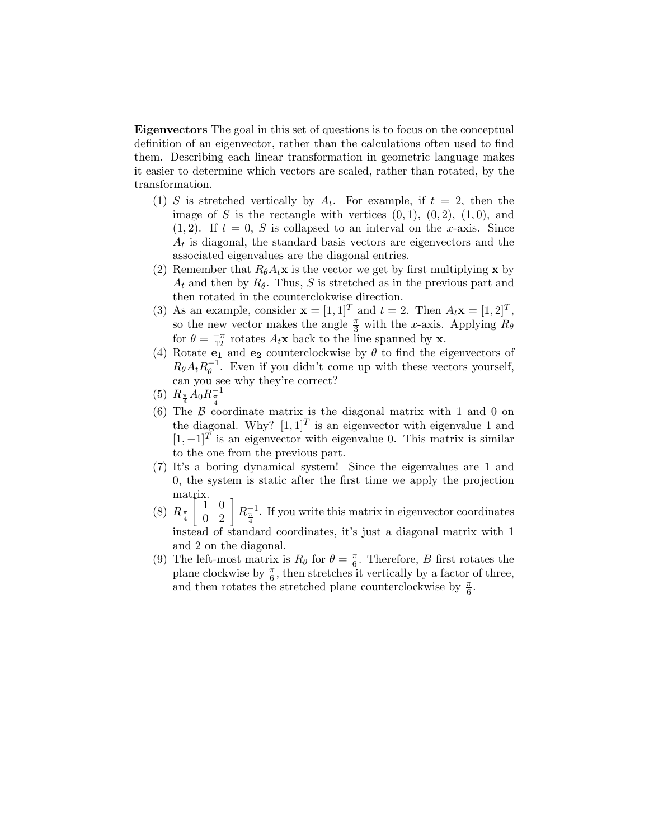Eigenvectors The goal in this set of questions is to focus on the conceptual definition of an eigenvector, rather than the calculations often used to find them. Describing each linear transformation in geometric language makes it easier to determine which vectors are scaled, rather than rotated, by the transformation.

- (1) S is stretched vertically by  $A_t$ . For example, if  $t = 2$ , then the image of S is the rectangle with vertices  $(0, 1)$ ,  $(0, 2)$ ,  $(1, 0)$ , and  $(1, 2)$ . If  $t = 0$ , S is collapsed to an interval on the x-axis. Since  $A_t$  is diagonal, the standard basis vectors are eigenvectors and the associated eigenvalues are the diagonal entries.
- (2) Remember that  $R_{\theta}A_t\mathbf{x}$  is the vector we get by first multiplying x by  $A_t$  and then by  $R_\theta$ . Thus, S is stretched as in the previous part and then rotated in the counterclokwise direction.
- (3) As an example, consider  $\mathbf{x} = [1, 1]^T$  and  $t = 2$ . Then  $A_t \mathbf{x} = [1, 2]^T$ , so the new vector makes the angle  $\frac{\pi}{3}$  with the x-axis. Applying  $R_{\theta}$ for  $\theta = \frac{-\pi}{12}$  rotates  $A_t$ **x** back to the line spanned by **x**.
- (4) Rotate  $e_1$  and  $e_2$  counterclockwise by  $\theta$  to find the eigenvectors of  $R_{\theta}A_t R_{\theta}^{-1}$  $_{\theta}^{-1}$ . Even if you didn't come up with these vectors yourself, can you see why they're correct?
- (5)  $R_{\frac{\pi}{4}}A_0R_{\frac{\pi}{4}}^{-1}$
- (6) The  $\beta$  coordinate matrix is the diagonal matrix with 1 and 0 on the diagonal. Why?  $[1, 1]^T$  is an eigenvector with eigenvalue 1 and  $[1, -1]^T$  is an eigenvector with eigenvalue 0. This matrix is similar to the one from the previous part.
- (7) It's a boring dynamical system! Since the eigenvalues are 1 and 0, the system is static after the first time we apply the projection matrix.
- $(8)$   $R_{\frac{\pi}{4}}$  $\begin{bmatrix} 1 & 0 \\ 0 & 2 \end{bmatrix} R_{\frac{\pi}{4}}^{-1}$ . If you write this matrix in eigenvector coordinates instead of standard coordinates, it's just a diagonal matrix with 1 and 2 on the diagonal.
- (9) The left-most matrix is  $R_{\theta}$  for  $\theta = \frac{\pi}{6}$  $\frac{\pi}{6}$ . Therefore, *B* first rotates the plane clockwise by  $\frac{\pi}{6}$ , then stretches it vertically by a factor of three, and then rotates the stretched plane counterclockwise by  $\frac{\pi}{6}$ .